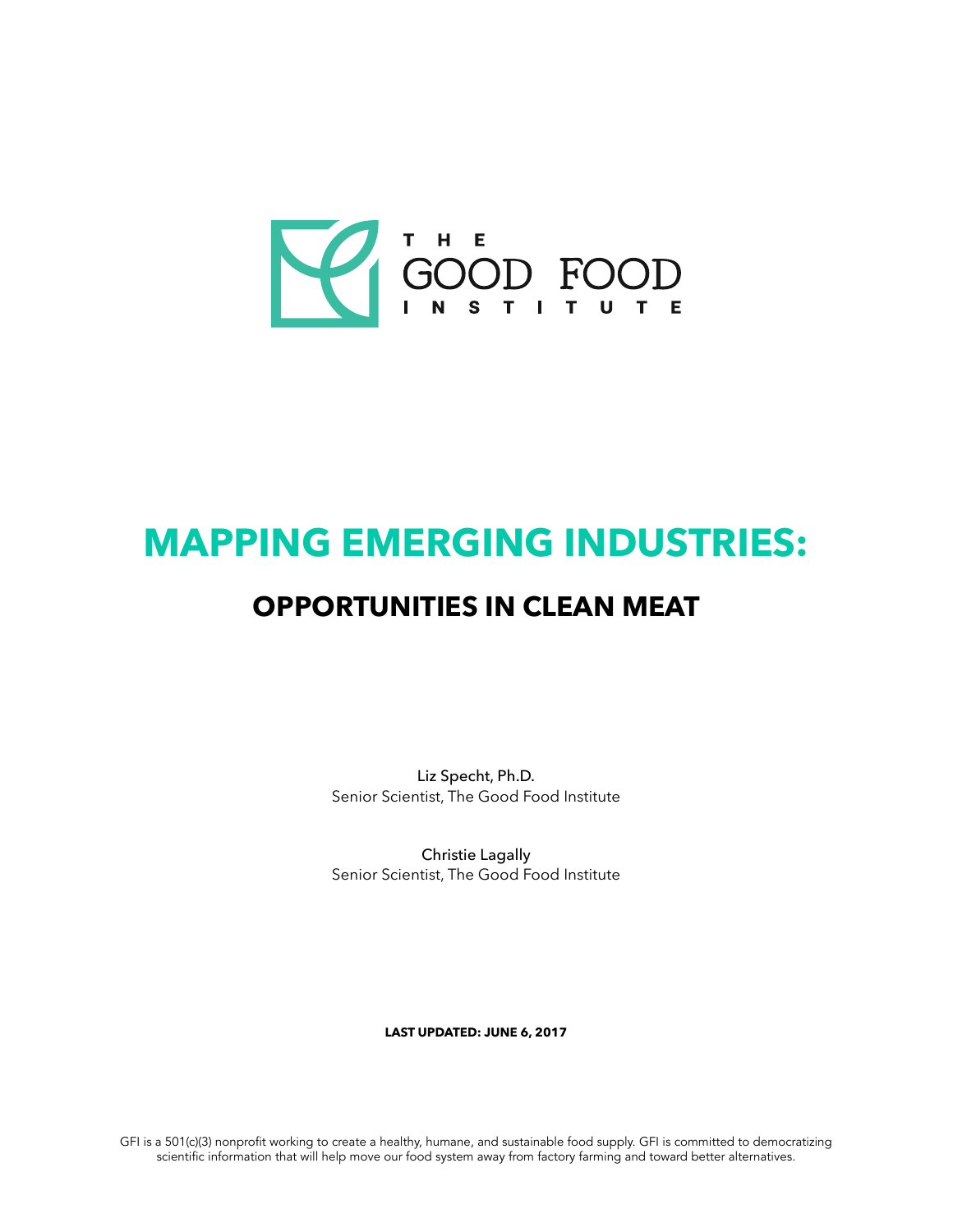

# **MAPPING EMERGING INDUSTRIES: OPPORTUNITIES IN CLEAN MEAT**

Liz Specht, Ph.D. Senior Scientist, The Good Food Institute

Christie Lagally Senior Scientist, The Good Food Institute

**LAST UPDATED: JUNE 6, 2017**

GFI is a 501(c)(3) nonproft working to create a healthy, humane, and sustainable food supply. GFI is committed to democratizing scientifc information that will help move our food system away from factory farming and toward better alternatives.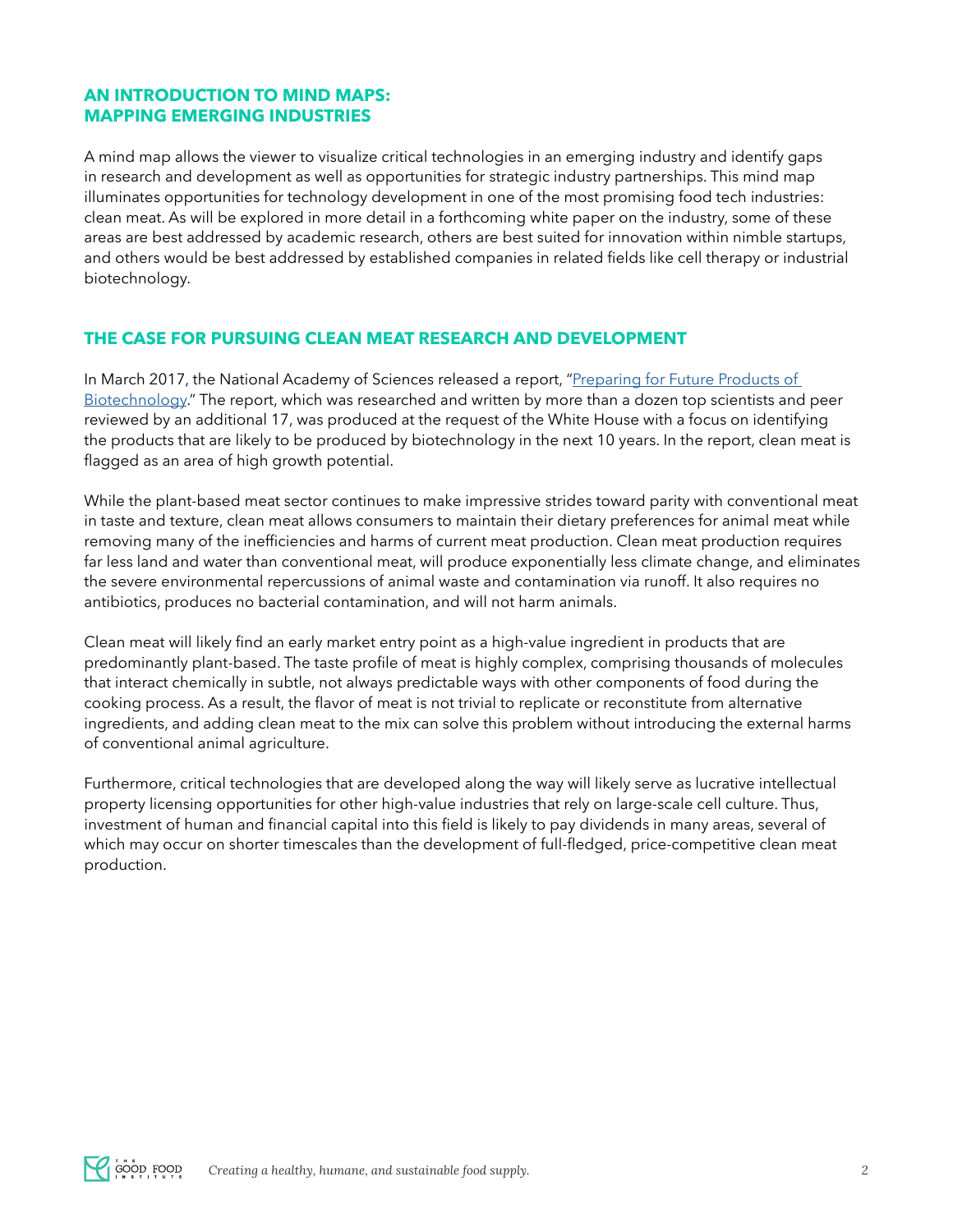# **AN INTRODUCTION TO MIND MAPS: MAPPING EMERGING INDUSTRIES**

A mind map allows the viewer to visualize critical technologies in an emerging industry and identify gaps in research and development as well as opportunities for strategic industry partnerships. This mind map illuminates opportunities for technology development in one of the most promising food tech industries: clean meat. As will be explored in more detail in a forthcoming white paper on the industry, some of these areas are best addressed by academic research, others are best suited for innovation within nimble startups, and others would be best addressed by established companies in related felds like cell therapy or industrial biotechnology.

## **THE CASE FOR PURSUING CLEAN MEAT RESEARCH AND DEVELOPMENT**

In March 2017, the National Academy of Sciences released a report, "Preparing for Future Products of [Biotechnology](https://www.nap.edu/read/24605/chapter/1)." The report, which was researched and written by more than a dozen top scientists and peer reviewed by an additional 17, was produced at the request of the White House with a focus on identifying the products that are likely to be produced by biotechnology in the next 10 years. In the report, clean meat is flagged as an area of high growth potential.

While the plant-based meat sector continues to make impressive strides toward parity with conventional meat in taste and texture, clean meat allows consumers to maintain their dietary preferences for animal meat while removing many of the inefficiencies and harms of current meat production. Clean meat production requires far less land and water than conventional meat, will produce exponentially less climate change, and eliminates the severe environmental repercussions of animal waste and contamination via runoff. It also requires no antibiotics, produces no bacterial contamination, and will not harm animals.

Clean meat will likely fnd an early market entry point as a high-value ingredient in products that are predominantly plant-based. The taste profle of meat is highly complex, comprising thousands of molecules that interact chemically in subtle, not always predictable ways with other components of food during the cooking process. As a result, the favor of meat is not trivial to replicate or reconstitute from alternative ingredients, and adding clean meat to the mix can solve this problem without introducing the external harms of conventional animal agriculture.

Furthermore, critical technologies that are developed along the way will likely serve as lucrative intellectual property licensing opportunities for other high-value industries that rely on large-scale cell culture. Thus, investment of human and fnancial capital into this feld is likely to pay dividends in many areas, several of which may occur on shorter timescales than the development of full-fedged, price-competitive clean meat production.

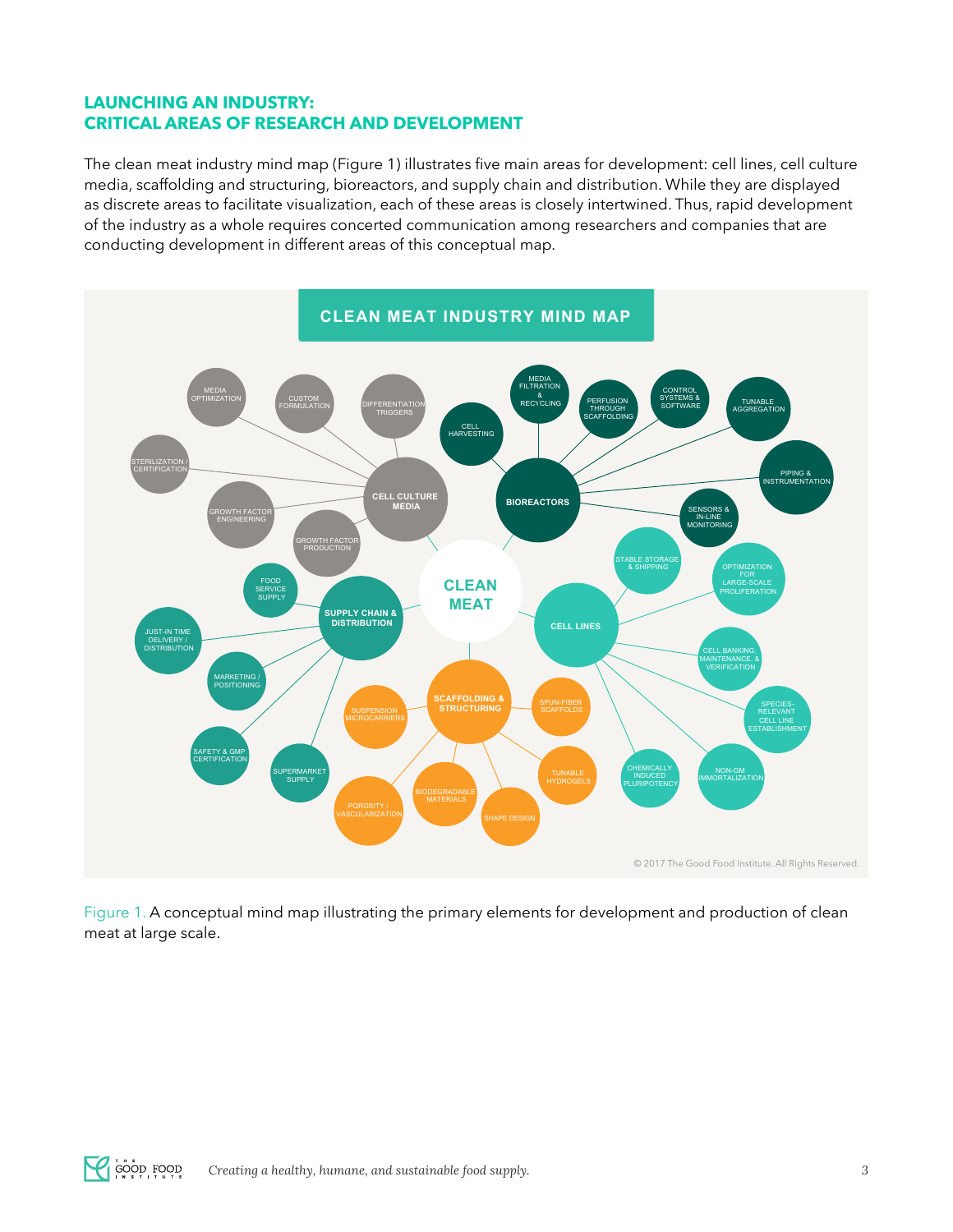# **LAUNCHING AN INDUSTRY: CRITICAL AREAS OF RESEARCH AND DEVELOPMENT**

The clean meat industry mind map (Figure 1) illustrates five main areas for development: cell lines, cell culture media, scaffolding and structuring, bioreactors, and supply chain and distribution. While they are displayed as discrete areas to facilitate visualization, each of these areas is closely intertwined. Thus, rapid development of the industry as a whole requires concerted communication among researchers and companies that are conducting development in different areas of this conceptual map.



Figure 1. A conceptual mind map illustrating the primary elements for development and production of clean meat at large scale.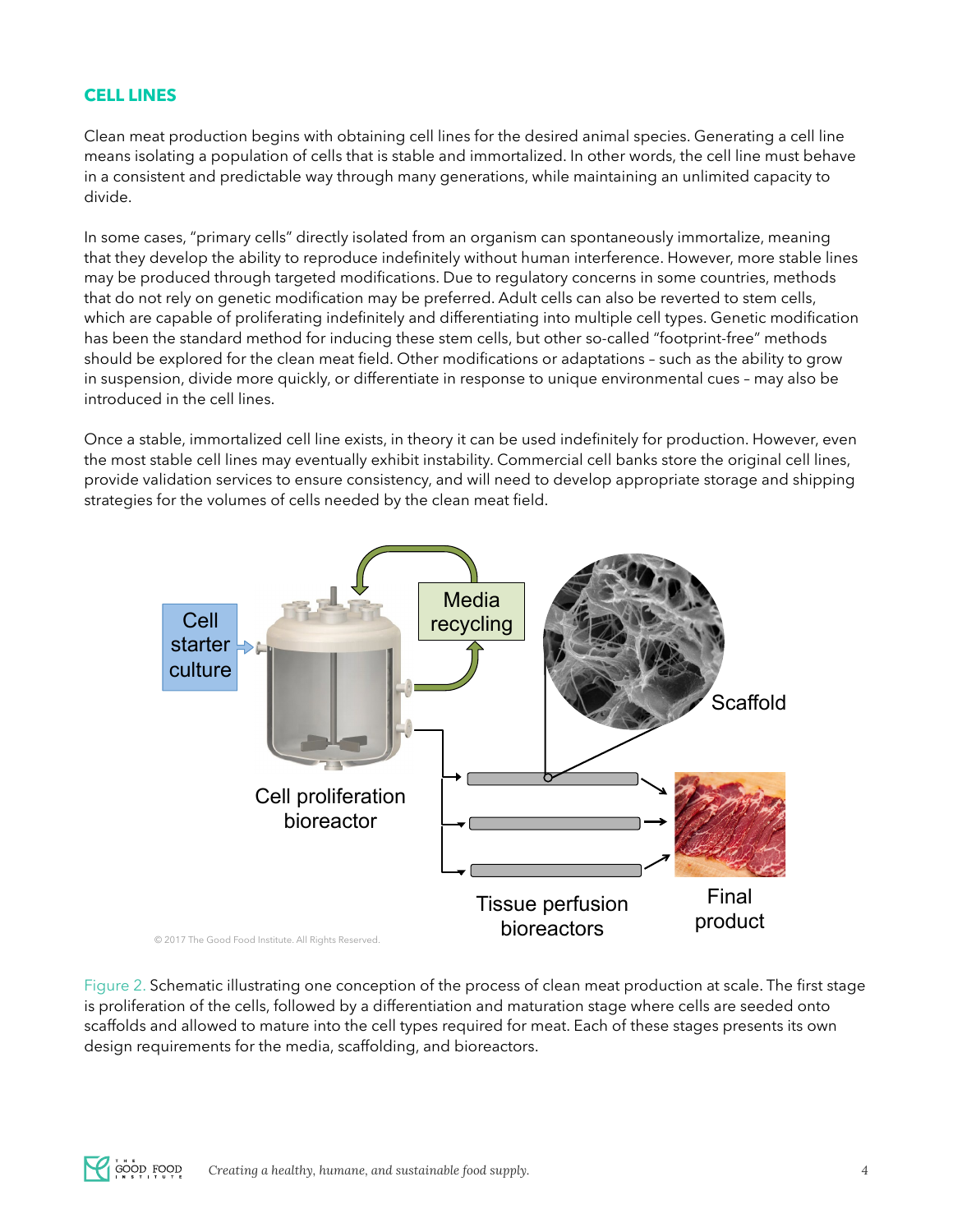## **CELL LINES**

Clean meat production begins with obtaining cell lines for the desired animal species. Generating a cell line means isolating a population of cells that is stable and immortalized. In other words, the cell line must behave in a consistent and predictable way through many generations, while maintaining an unlimited capacity to divide.

In some cases, "primary cells" directly isolated from an organism can spontaneously immortalize, meaning that they develop the ability to reproduce indefnitely without human interference. However, more stable lines may be produced through targeted modifcations. Due to regulatory concerns in some countries, methods that do not rely on genetic modifcation may be preferred. Adult cells can also be reverted to stem cells, which are capable of proliferating indefinitely and differentiating into multiple cell types. Genetic modification has been the standard method for inducing these stem cells, but other so-called "footprint-free" methods should be explored for the clean meat feld. Other modifcations or adaptations – such as the ability to grow in suspension, divide more quickly, or differentiate in response to unique environmental cues – may also be introduced in the cell lines.

Once a stable, immortalized cell line exists, in theory it can be used indefnitely for production. However, even the most stable cell lines may eventually exhibit instability. Commercial cell banks store the original cell lines, provide validation services to ensure consistency, and will need to develop appropriate storage and shipping strategies for the volumes of cells needed by the clean meat field.



Figure 2. Schematic illustrating one conception of the process of clean meat production at scale. The frst stage is proliferation of the cells, followed by a differentiation and maturation stage where cells are seeded onto scaffolds and allowed to mature into the cell types required for meat. Each of these stages presents its own design requirements for the media, scaffolding, and bioreactors.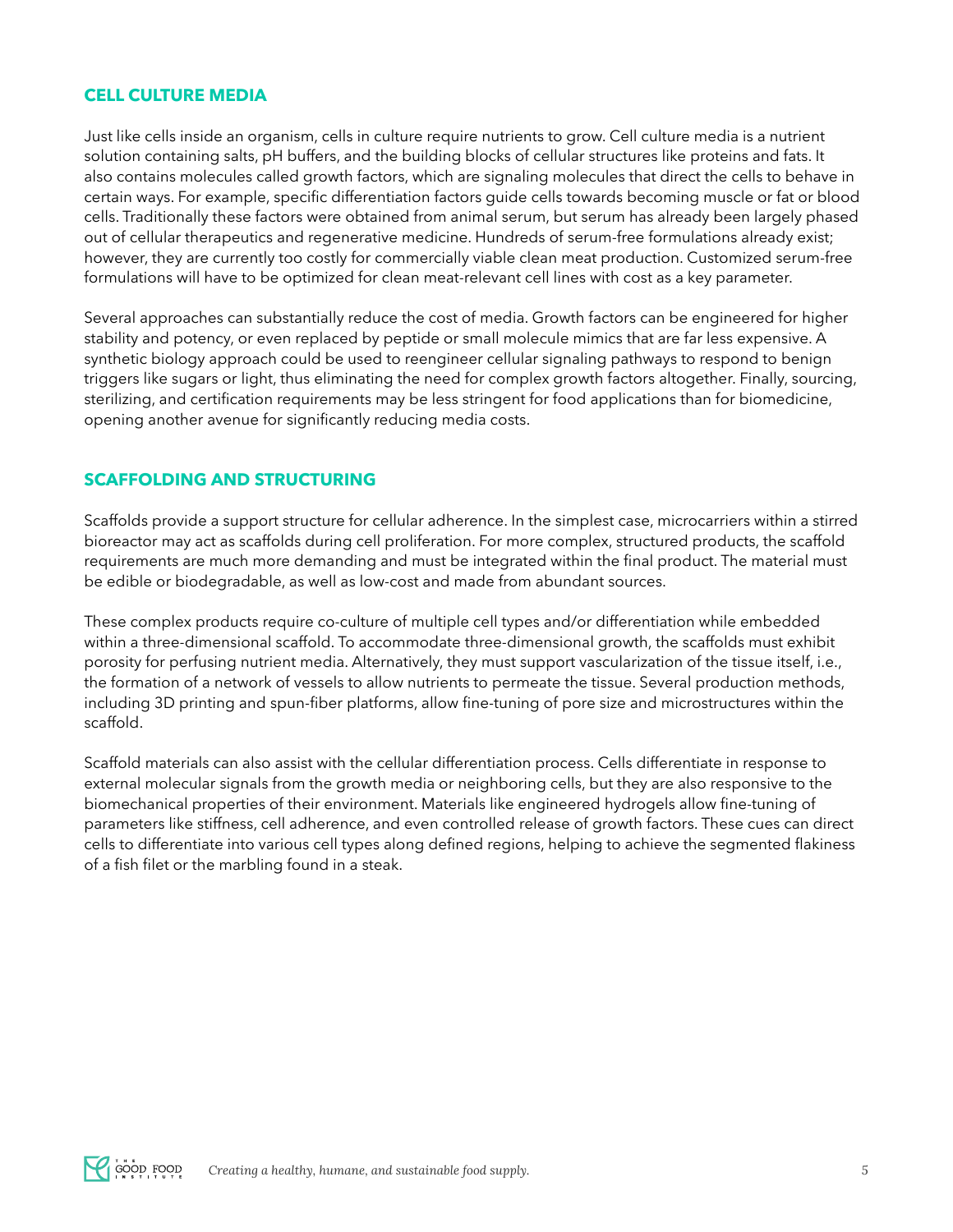#### **CELL CULTURE MEDIA**

Just like cells inside an organism, cells in culture require nutrients to grow. Cell culture media is a nutrient solution containing salts, pH buffers, and the building blocks of cellular structures like proteins and fats. It also contains molecules called growth factors, which are signaling molecules that direct the cells to behave in certain ways. For example, specifc differentiation factors guide cells towards becoming muscle or fat or blood cells. Traditionally these factors were obtained from animal serum, but serum has already been largely phased out of cellular therapeutics and regenerative medicine. Hundreds of serum-free formulations already exist; however, they are currently too costly for commercially viable clean meat production. Customized serum-free formulations will have to be optimized for clean meat-relevant cell lines with cost as a key parameter.

Several approaches can substantially reduce the cost of media. Growth factors can be engineered for higher stability and potency, or even replaced by peptide or small molecule mimics that are far less expensive. A synthetic biology approach could be used to reengineer cellular signaling pathways to respond to benign triggers like sugars or light, thus eliminating the need for complex growth factors altogether. Finally, sourcing, sterilizing, and certifcation requirements may be less stringent for food applications than for biomedicine, opening another avenue for significantly reducing media costs.

## **SCAFFOLDING AND STRUCTURING**

Scaffolds provide a support structure for cellular adherence. In the simplest case, microcarriers within a stirred bioreactor may act as scaffolds during cell proliferation. For more complex, structured products, the scaffold requirements are much more demanding and must be integrated within the fnal product. The material must be edible or biodegradable, as well as low-cost and made from abundant sources.

These complex products require co-culture of multiple cell types and/or differentiation while embedded within a three-dimensional scaffold. To accommodate three-dimensional growth, the scaffolds must exhibit porosity for perfusing nutrient media. Alternatively, they must support vascularization of the tissue itself, i.e., the formation of a network of vessels to allow nutrients to permeate the tissue. Several production methods, including 3D printing and spun-fber platforms, allow fne-tuning of pore size and microstructures within the scaffold.

Scaffold materials can also assist with the cellular differentiation process. Cells differentiate in response to external molecular signals from the growth media or neighboring cells, but they are also responsive to the biomechanical properties of their environment. Materials like engineered hydrogels allow fne-tuning of parameters like stiffness, cell adherence, and even controlled release of growth factors. These cues can direct cells to differentiate into various cell types along defned regions, helping to achieve the segmented fakiness of a fish filet or the marbling found in a steak.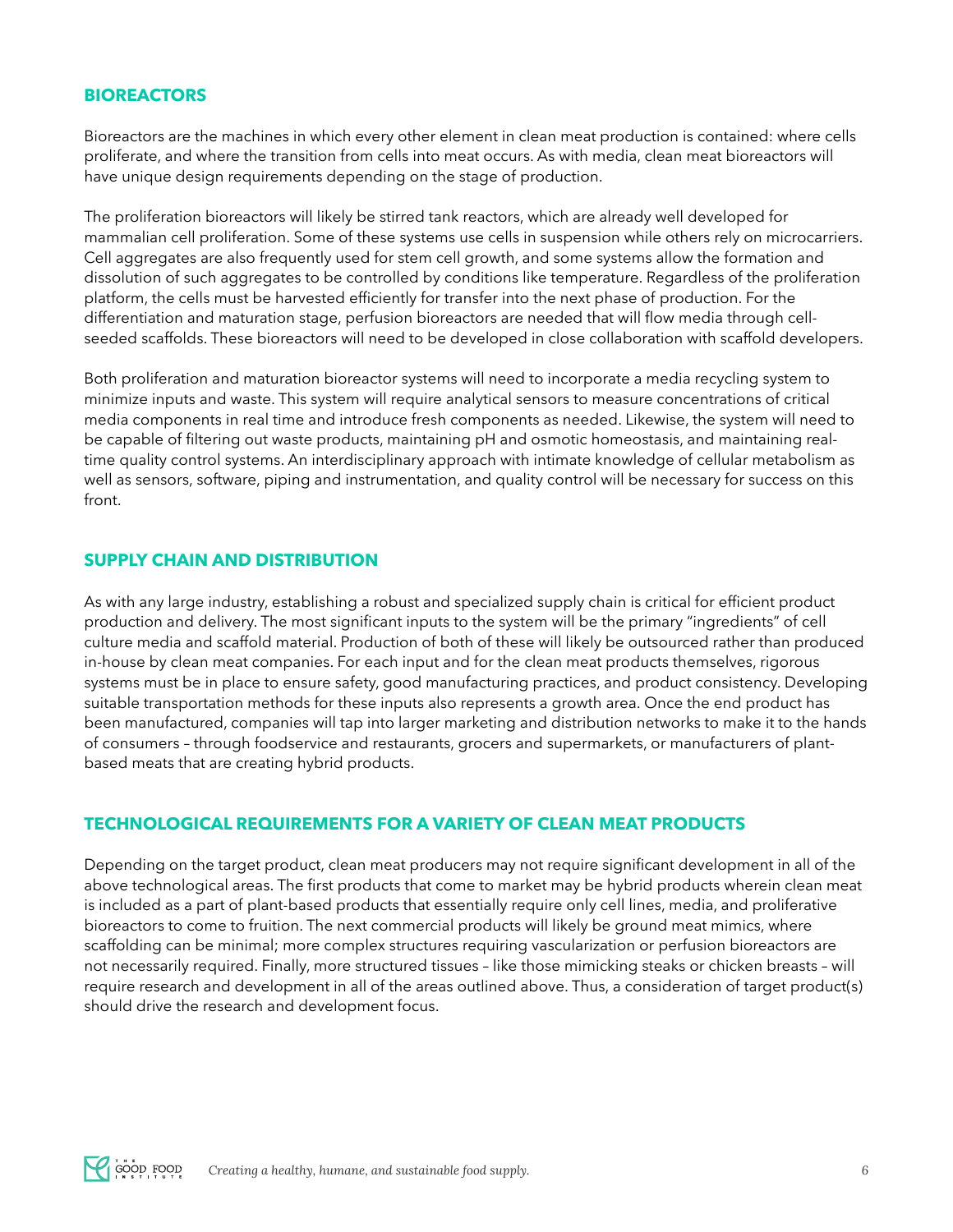#### **BIOREACTORS**

Bioreactors are the machines in which every other element in clean meat production is contained: where cells proliferate, and where the transition from cells into meat occurs. As with media, clean meat bioreactors will have unique design requirements depending on the stage of production.

The proliferation bioreactors will likely be stirred tank reactors, which are already well developed for mammalian cell proliferation. Some of these systems use cells in suspension while others rely on microcarriers. Cell aggregates are also frequently used for stem cell growth, and some systems allow the formation and dissolution of such aggregates to be controlled by conditions like temperature. Regardless of the proliferation platform, the cells must be harvested efficiently for transfer into the next phase of production. For the differentiation and maturation stage, perfusion bioreactors are needed that will fow media through cellseeded scaffolds. These bioreactors will need to be developed in close collaboration with scaffold developers.

Both proliferation and maturation bioreactor systems will need to incorporate a media recycling system to minimize inputs and waste. This system will require analytical sensors to measure concentrations of critical media components in real time and introduce fresh components as needed. Likewise, the system will need to be capable of fltering out waste products, maintaining pH and osmotic homeostasis, and maintaining realtime quality control systems. An interdisciplinary approach with intimate knowledge of cellular metabolism as well as sensors, software, piping and instrumentation, and quality control will be necessary for success on this front.

#### **SUPPLY CHAIN AND DISTRIBUTION**

As with any large industry, establishing a robust and specialized supply chain is critical for effcient product production and delivery. The most signifcant inputs to the system will be the primary "ingredients" of cell culture media and scaffold material. Production of both of these will likely be outsourced rather than produced in-house by clean meat companies. For each input and for the clean meat products themselves, rigorous systems must be in place to ensure safety, good manufacturing practices, and product consistency. Developing suitable transportation methods for these inputs also represents a growth area. Once the end product has been manufactured, companies will tap into larger marketing and distribution networks to make it to the hands of consumers – through foodservice and restaurants, grocers and supermarkets, or manufacturers of plantbased meats that are creating hybrid products.

## **TECHNOLOGICAL REQUIREMENTS FOR A VARIETY OF CLEAN MEAT PRODUCTS**

Depending on the target product, clean meat producers may not require signifcant development in all of the above technological areas. The first products that come to market may be hybrid products wherein clean meat is included as a part of plant-based products that essentially require only cell lines, media, and proliferative bioreactors to come to fruition. The next commercial products will likely be ground meat mimics, where scaffolding can be minimal; more complex structures requiring vascularization or perfusion bioreactors are not necessarily required. Finally, more structured tissues – like those mimicking steaks or chicken breasts – will require research and development in all of the areas outlined above. Thus, a consideration of target product(s) should drive the research and development focus.

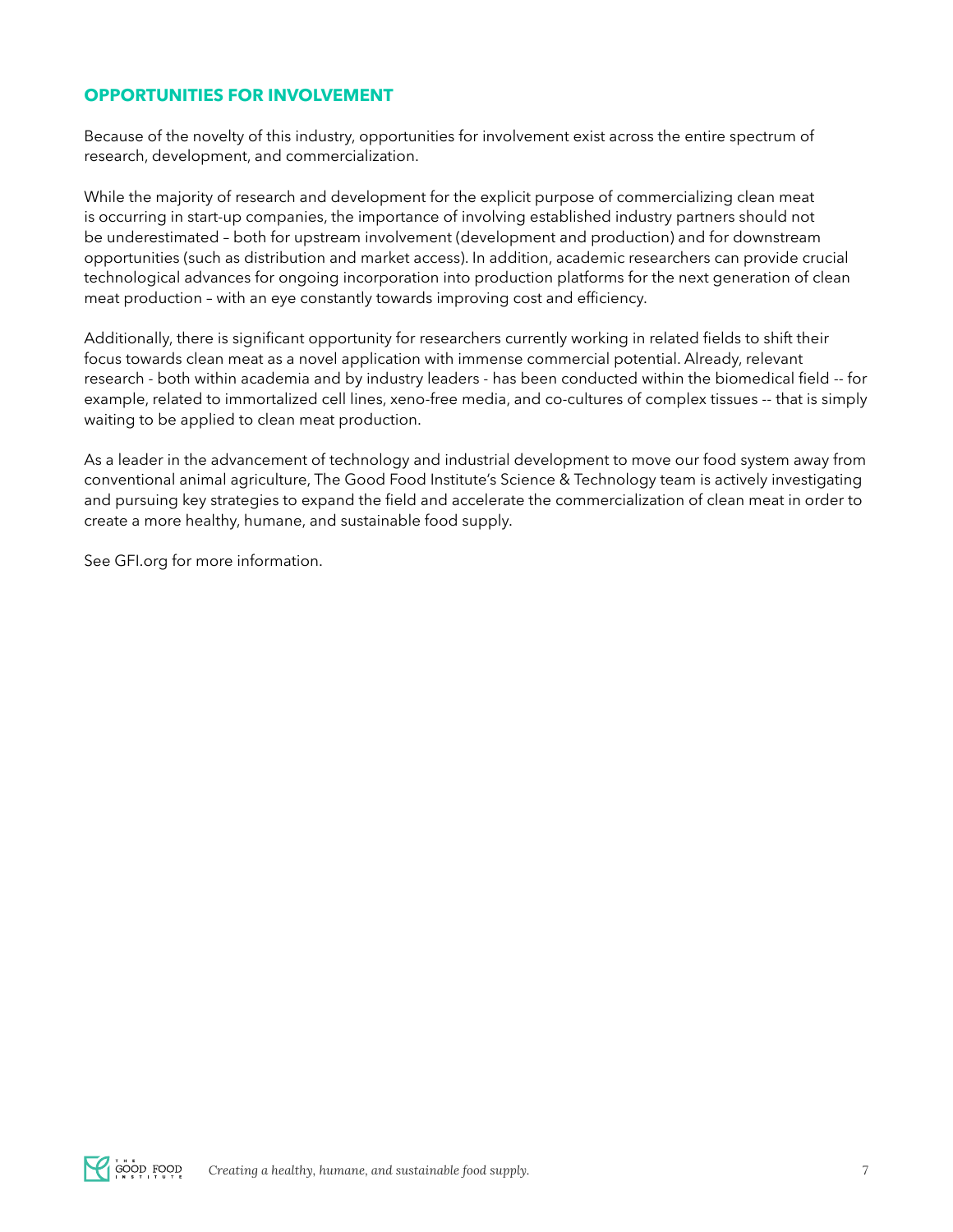# **OPPORTUNITIES FOR INVOLVEMENT**

Because of the novelty of this industry, opportunities for involvement exist across the entire spectrum of research, development, and commercialization.

While the majority of research and development for the explicit purpose of commercializing clean meat is occurring in start-up companies, the importance of involving established industry partners should not be underestimated – both for upstream involvement (development and production) and for downstream opportunities (such as distribution and market access). In addition, academic researchers can provide crucial technological advances for ongoing incorporation into production platforms for the next generation of clean meat production - with an eye constantly towards improving cost and efficiency.

Additionally, there is signifcant opportunity for researchers currently working in related felds to shift their focus towards clean meat as a novel application with immense commercial potential. Already, relevant research - both within academia and by industry leaders - has been conducted within the biomedical feld -- for example, related to immortalized cell lines, xeno-free media, and co-cultures of complex tissues -- that is simply waiting to be applied to clean meat production.

As a leader in the advancement of technology and industrial development to move our food system away from conventional animal agriculture, The Good Food Institute's Science & Technology team is actively investigating and pursuing key strategies to expand the feld and accelerate the commercialization of clean meat in order to create a more healthy, humane, and sustainable food supply.

See GFI.org for more information.